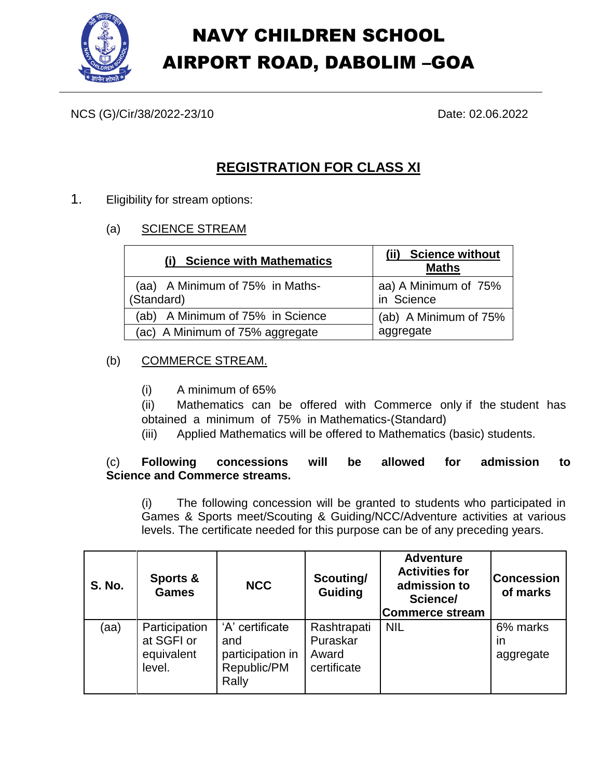

NCS (G)/Cir/38/2022-23/10 Date: 02.06.2022

# **REGISTRATION FOR CLASS XI**

- 1. Eligibility for stream options:
	- (a) SCIENCE STREAM

| <b>Science with Mathematics</b>               | <b>Science without</b><br><b>Maths</b> |  |
|-----------------------------------------------|----------------------------------------|--|
| (aa) A Minimum of 75% in Maths-<br>(Standard) | aa) A Minimum of 75%<br>in Science     |  |
| (ab) A Minimum of 75% in Science              | (ab) A Minimum of 75%                  |  |
| (ac) A Minimum of 75% aggregate               | aggregate                              |  |

## (b) COMMERCE STREAM.

(i) A minimum of 65%

(ii) Mathematics can be offered with Commerce only if the student has obtained a minimum of 75% in Mathematics-(Standard)

(iii) Applied Mathematics will be offered to Mathematics (basic) students.

#### (c) **Following concessions will be allowed for admission to Science and Commerce streams.**

(i) The following concession will be granted to students who participated in Games & Sports meet/Scouting & Guiding/NCC/Adventure activities at various levels. The certificate needed for this purpose can be of any preceding years.

| <b>S. No.</b> | Sports &<br><b>Games</b>                            | <b>NCC</b>                                                         | Scouting/<br>Guiding                            | <b>Adventure</b><br><b>Activities for</b><br>admission to<br>Science/<br><b>Commerce stream</b> | <b>Concession</b><br>of marks |
|---------------|-----------------------------------------------------|--------------------------------------------------------------------|-------------------------------------------------|-------------------------------------------------------------------------------------------------|-------------------------------|
| (aa)          | Participation<br>at SGFI or<br>equivalent<br>level. | 'A' certificate<br>and<br>participation in<br>Republic/PM<br>Rally | Rashtrapati<br>Puraskar<br>Award<br>certificate | <b>NIL</b>                                                                                      | 6% marks<br>in<br>aggregate   |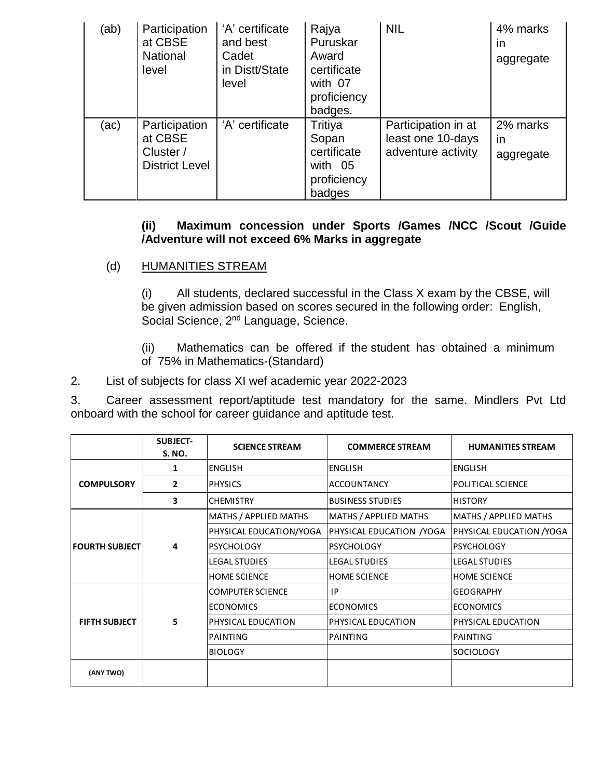| (ab) | Participation<br>at CBSE<br><b>National</b><br>level           | 'A' certificate<br>and best<br>Cadet<br>in Distt/State<br>level | Rajya<br>Puruskar<br>Award<br>certificate<br>with 07<br>proficiency<br>badges. | <b>NIL</b>                                                     | 4% marks<br>in<br>aggregate |
|------|----------------------------------------------------------------|-----------------------------------------------------------------|--------------------------------------------------------------------------------|----------------------------------------------------------------|-----------------------------|
| (ac) | Participation<br>at CBSE<br>Cluster /<br><b>District Level</b> | 'A' certificate                                                 | Tritiya<br>Sopan<br>certificate<br>with 05<br>proficiency<br>badges            | Participation in at<br>least one 10-days<br>adventure activity | 2% marks<br>in<br>aggregate |

#### **(ii) Maximum concession under Sports /Games /NCC /Scout /Guide /Adventure will not exceed 6% Marks in aggregate**

#### (d) HUMANITIES STREAM

(i) All students, declared successful in the Class X exam by the CBSE, will be given admission based on scores secured in the following order: English, Social Science, 2<sup>nd</sup> Language, Science.

(ii) Mathematics can be offered if the student has obtained a minimum of 75% in Mathematics-(Standard)

2. List of subjects for class XI wef academic year 2022-2023

3. Career assessment report/aptitude test mandatory for the same. Mindlers Pvt Ltd onboard with the school for career guidance and aptitude test.

|                       | <b>SUBJECT-</b><br><b>S. NO.</b> | <b>SCIENCE STREAM</b>   | <b>COMMERCE STREAM</b>       | <b>HUMANITIES STREAM</b>  |
|-----------------------|----------------------------------|-------------------------|------------------------------|---------------------------|
|                       | 1                                | <b>ENGLISH</b>          | <b>ENGLISH</b>               | <b>ENGLISH</b>            |
| <b>COMPULSORY</b>     | $\overline{2}$                   | <b>PHYSICS</b>          | <b>ACCOUNTANCY</b>           | POLITICAL SCIENCE         |
|                       | 3                                | <b>CHEMISTRY</b>        | <b>BUSINESS STUDIES</b>      | <b>HISTORY</b>            |
| <b>FOURTH SUBJECT</b> | 4                                | MATHS / APPLIED MATHS   | <b>MATHS / APPLIED MATHS</b> | MATHS / APPLIED MATHS     |
|                       |                                  | PHYSICAL EDUCATION/YOGA | PHYSICAL EDUCATION / YOGA    | PHYSICAL EDUCATION / YOGA |
|                       |                                  | <b>PSYCHOLOGY</b>       | <b>PSYCHOLOGY</b>            | <b>PSYCHOLOGY</b>         |
|                       |                                  | <b>LEGAL STUDIES</b>    | <b>LEGAL STUDIES</b>         | <b>LEGAL STUDIES</b>      |
|                       |                                  | <b>HOME SCIENCE</b>     | <b>HOME SCIENCE</b>          | <b>HOME SCIENCE</b>       |
| <b>FIFTH SUBJECT</b>  | 5                                | COMPUTER SCIENCE        | IP.                          | <b>GEOGRAPHY</b>          |
|                       |                                  | <b>ECONOMICS</b>        | <b>ECONOMICS</b>             | <b>ECONOMICS</b>          |
|                       |                                  | PHYSICAL EDUCATION      | PHYSICAL EDUCATION           | PHYSICAL EDUCATION        |
|                       |                                  | PAINTING                | IPAINTING                    | PAINTING                  |
|                       |                                  | <b>BIOLOGY</b>          |                              | <b>SOCIOLOGY</b>          |
| (ANY TWO)             |                                  |                         |                              |                           |